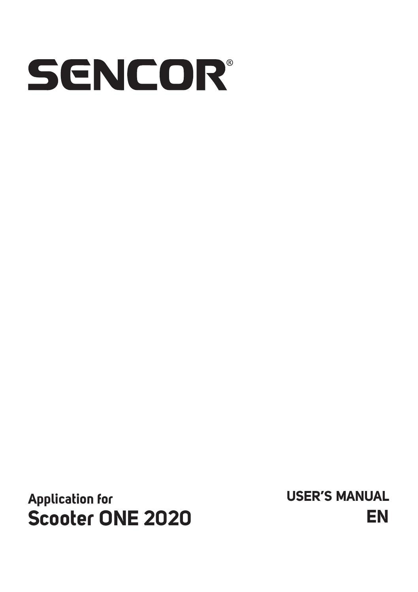# SENCOR®

**Application for Scooter ONE 2020** **USER'S MANUAL EN**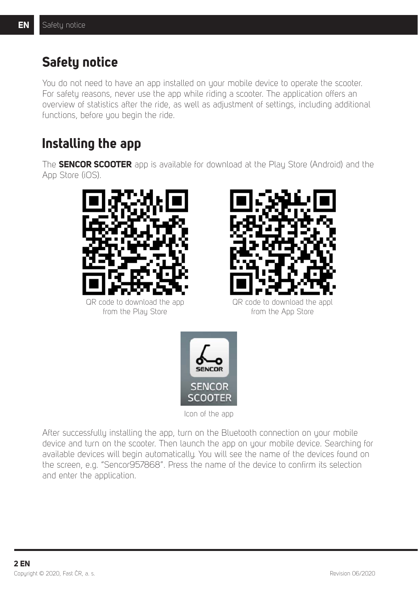# **Safety notice**

You do not need to have an app installed on your mobile device to operate the scooter. For safety reasons, never use the app while riding a scooter. The application offers an overview of statistics after the ride, as well as adjustment of settings, including additional functions, before you begin the ride.

# **Installing the app**

The **SENCOR SCOOTER** app is available for download at the Play Store (Android) and the App Store (iOS).



QR code to download the app from the Plau Store



QR code to download the appl from the App Store



Icon of the app

After successfully installing the app, turn on the Bluetooth connection on your mobile device and turn on the scooter. Then launch the app on your mobile device. Searching for available devices will begin automatically. You will see the name of the devices found on the screen, e.g. "Sencor957868". Press the name of the device to confirm its selection and enter the application.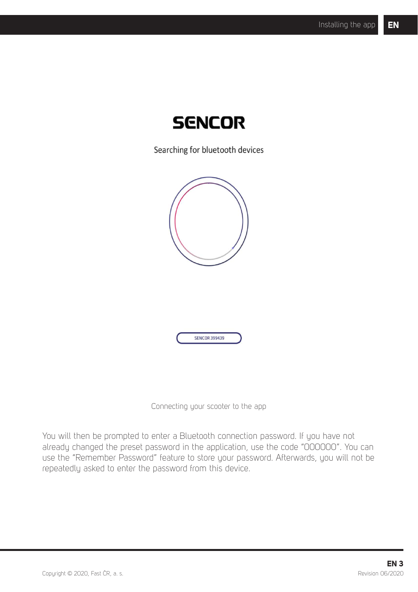

Searching for bluetooth devices





Connecting your scooter to the app

You will then be prompted to enter a Bluetooth connection password. If you have not already changed the preset password in the application, use the code "000000". You can use the "Remember Password" feature to store your password. Afterwards, you will not be repeatedly asked to enter the password from this device.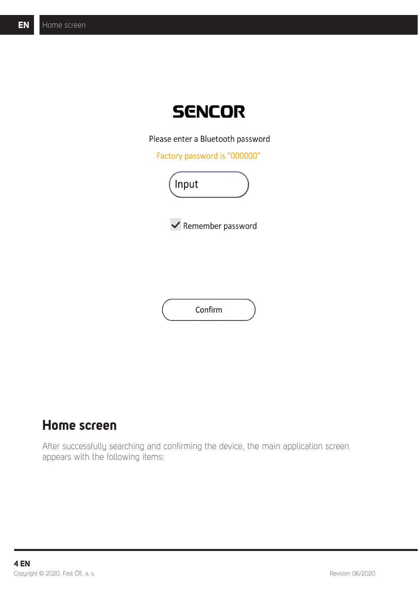

Please enter a Bluetooth password

Factory password is "000000"





Confirm

# **Home screen**

After successfully searching and confirming the device, the main application screen appears with the following items: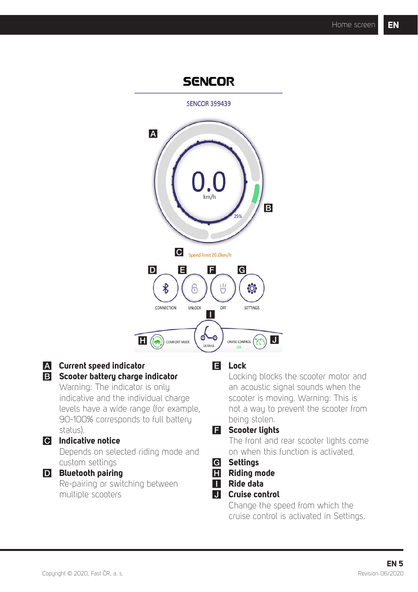## **SENCOR**

SENCOR 399439



#### A **Current speed indicator**

#### **B** Scooter battery charge indicator

Warning: The indicator is only indicative and the individual charge levels have a wide range (for example, 90-100% corresponds to full battery status).

## C **Indicative notice**

Depends on selected riding mode and custom settings

## D **Bluetooth pairing**

Re-pairing or switching between multiple scooters

### **E** Lock

Locking blocks the scooter motor and an acoustic signal sounds when the scooter is moving. Warning: This is not a way to prevent the scooter from being stolen.

#### **F** Scooter lights

The front and rear scooter lights come on when this function is activated.

## G **Settings**

- **H** Riding mode
- **II** Ride data

#### $\Pi$  Cruise control

Change the speed from which the cruise control is activated in Settings.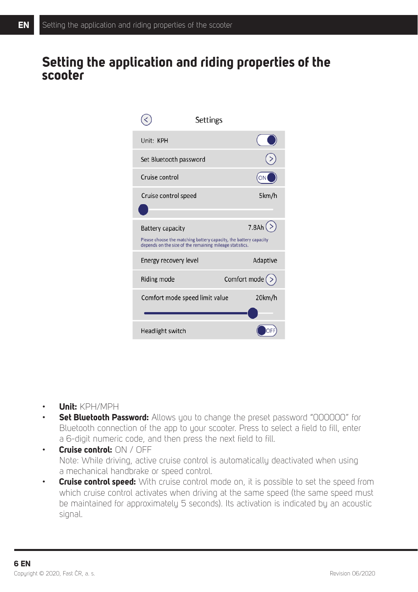# **Setting the application and riding properties of the scooter**

| Settings                                                                                                                                                 |                |
|----------------------------------------------------------------------------------------------------------------------------------------------------------|----------------|
| Unit: KPH                                                                                                                                                |                |
| Set Bluetooth password                                                                                                                                   |                |
| Cruise control                                                                                                                                           |                |
| Cruise control speed                                                                                                                                     | 5km/h          |
| <b>Battery capacity</b><br>Please choose the matching battery capacity, the battery capacity<br>depends on the size of the remaining mileage statistics. | 7.8Ah (        |
| Energy recovery level                                                                                                                                    | Adaptive       |
| Riding mode                                                                                                                                              | Comfort mode ( |
| Comfort mode speed limit value                                                                                                                           | 20km/h         |
| Headlight switch                                                                                                                                         |                |

- **Unit:** KPH/MPH
- **Set Bluetooth Password:** Allows you to change the preset password "000000" for Bluetooth connection of the app to your scooter. Press to select a field to fill, enter a 6-digit numeric code, and then press the next field to fill.
- **Cruise control:** ON / OFF Note: While driving, active cruise control is automatically deactivated when using a mechanical handbrake or speed control.
- **Cruise control speed:** With cruise control mode on, it is possible to set the speed from which cruise control activates when driving at the same speed (the same speed must be maintained for approximately 5 seconds). Its activation is indicated by an acoustic signal.